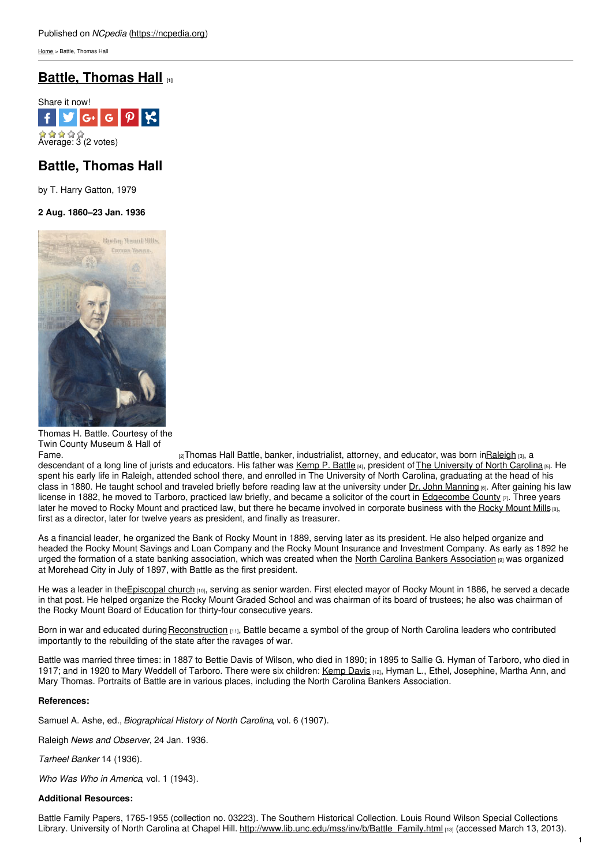[Home](https://ncpedia.org/) > Battle, Thomas Hall

## **Battle, [Thomas](https://ncpedia.org/biography/battle-thomas-hall) Hall [1]**



# **Battle, Thomas Hall**

by T. Harry Gatton, 1979

## **2 Aug. 1860–23 Jan. 1936**



Thomas H. Battle. Courtesy of the Twin County Museum & Hall of

[Fame.](http://twincountyhalloffame.com/index.php?option=com_content&view=article&id=41&Itemid=115&profile=6)  $\frac{1}{2}$ Thomas Hall Battle, banker, industrialist, attorney, and educator, was born i[nRaleigh](https://ncpedia.org/geography/raleigh) [3], a descendant of a long line of jurists and educators. His father was [Kemp](https://ncpedia.org/biography/battle-kemp-plummer) P. Battle [4], president of The [University](https://ncpedia.org/university-north-carolina-chapel-hi) of North Carolina [5]. He spent his early life in Raleigh, attended school there, and enrolled in The University of North Carolina, graduating at the head of his class in 1880. He taught school and traveled briefly before reading law at the university under Dr. John [Manning](https://ncpedia.org/biography/manning-john-jr) [6]. After gaining his law license in 1882, he moved to Tarboro, practiced law briefly, and became a solicitor of the court in [Edgecombe](https://ncpedia.org/geography/edgecombe) County  $\varphi$ . Three years later he moved to Rocky [Mount](https://ncpedia.org/rocky-mount-mills) and practiced law, but there he became involved in corporate business with the Rocky Mount Mills [8], first as a director, later for twelve years as president, and finally as treasurer.

As a financial leader, he organized the Bank of Rocky Mount in 1889, serving later as its president. He also helped organize and headed the Rocky Mount Savings and Loan Company and the Rocky Mount Insurance and Investment Company. As early as 1892 he urged the formation of a state banking association, which was created when the North Carolina Bankers [Association](https://ncpedia.org/north-carolina-bankers-association) [9] was organized at Morehead City in July of 1897, with Battle as the first president.

He was a leader in the Episcopal church [10], serving as senior warden. First elected mayor of Rocky Mount in 1886, he served a decade in that post. He helped organize the Rocky Mount Graded School and was chairman of its board of trustees; he also was chairman of the Rocky Mount Board of Education for thirty-four consecutive years.

Born in war and educated during [Reconstruction](https://ncpedia.org/reconstruction) [11], Battle became a symbol of the group of North Carolina leaders who contributed importantly to the rebuilding of the state after the ravages of war.

Battle was married three times: in 1887 to Bettie Davis of Wilson, who died in 1890; in 1895 to Sallie G. Hyman of Tarboro, who died in 1917; and in 1920 to Mary Weddell of Tarboro. There were six children: [Kemp](https://ncpedia.org/biography/battle-kemp-davis) Davis [12], Hyman L., Ethel, Josephine, Martha Ann, and Mary Thomas. Portraits of Battle are in various places, including the North Carolina Bankers Association.

### **References:**

Samuel A. Ashe, ed., *Biographical History of North Carolina*, vol. 6 (1907).

Raleigh *News and Observer*, 24 Jan. 1936.

*Tarheel Banker* 14 (1936).

*Who Was Who in America*, vol. 1 (1943).

#### **Additional Resources:**

Battle Family Papers, 1765-1955 (collection no. 03223). The Southern Historical Collection. Louis Round Wilson Special Collections Library. University of North Carolina at Chapel Hill. [http://www.lib.unc.edu/mss/inv/b/Battle\\_Family.html](http://www.lib.unc.edu/mss/inv/b/Battle_Family.html) [13] (accessed March 13, 2013).